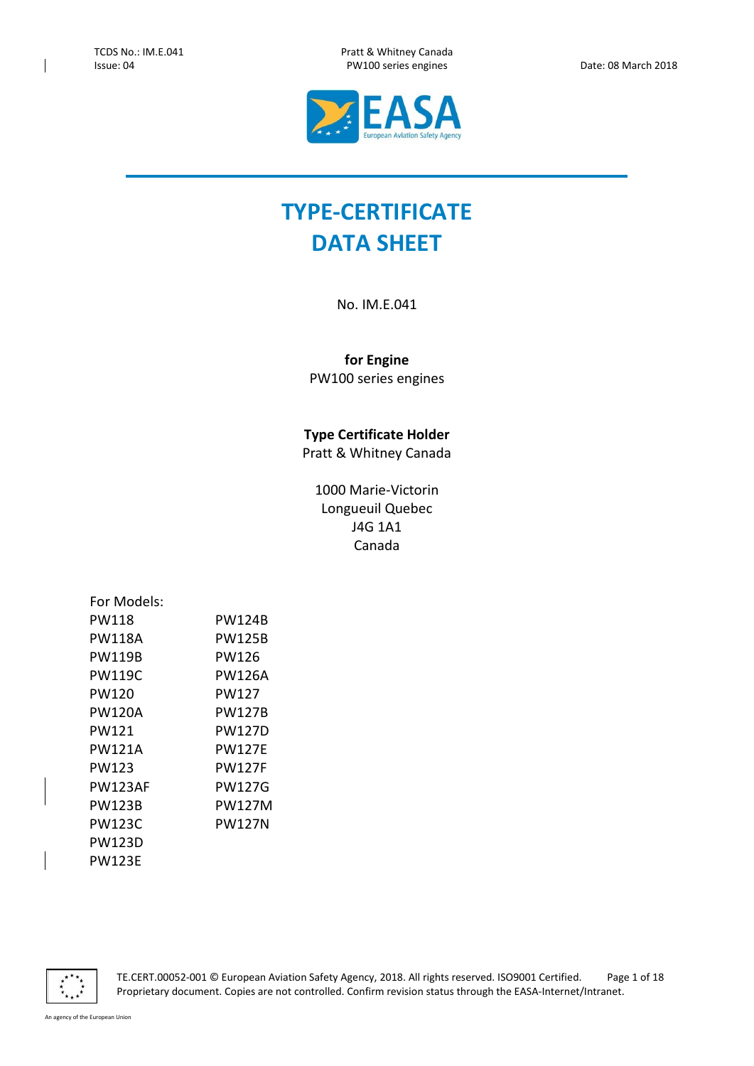TCDS No.: IM.E.041 Pratt & Whitney Canada<br>
Issue: 04 PW100 series engines PW100 series engines **Issue Date: 08 March 2018** 



# **TYPE-CERTIFICATE DATA SHEET**

No. IM.E.041

**for Engine** PW100 series engines

# **Type Certificate Holder**

Pratt & Whitney Canada

1000 Marie-Victorin Longueuil Quebec J4G 1A1 Canada

| For Models:   |        |
|---------------|--------|
| PW118         | PW124B |
| PW118A        | PW125B |
| PW119B        | PW126  |
| PW119C        | PW126A |
| PW120         | PW127  |
| <b>PW120A</b> | PW127B |
| PW121         | PW127D |
| PW121A        | PW127E |
| PW123         | PW127F |
| PW123AF       | PW127G |
| PW123B        | PW127M |
| PW123C        | PW127N |
| PW123D        |        |
| PW123E        |        |



TE.CERT.00052-001 © European Aviation Safety Agency, 2018. All rights reserved. ISO9001 Certified. Page 1 of 18 Proprietary document. Copies are not controlled. Confirm revision status through the EASA-Internet/Intranet.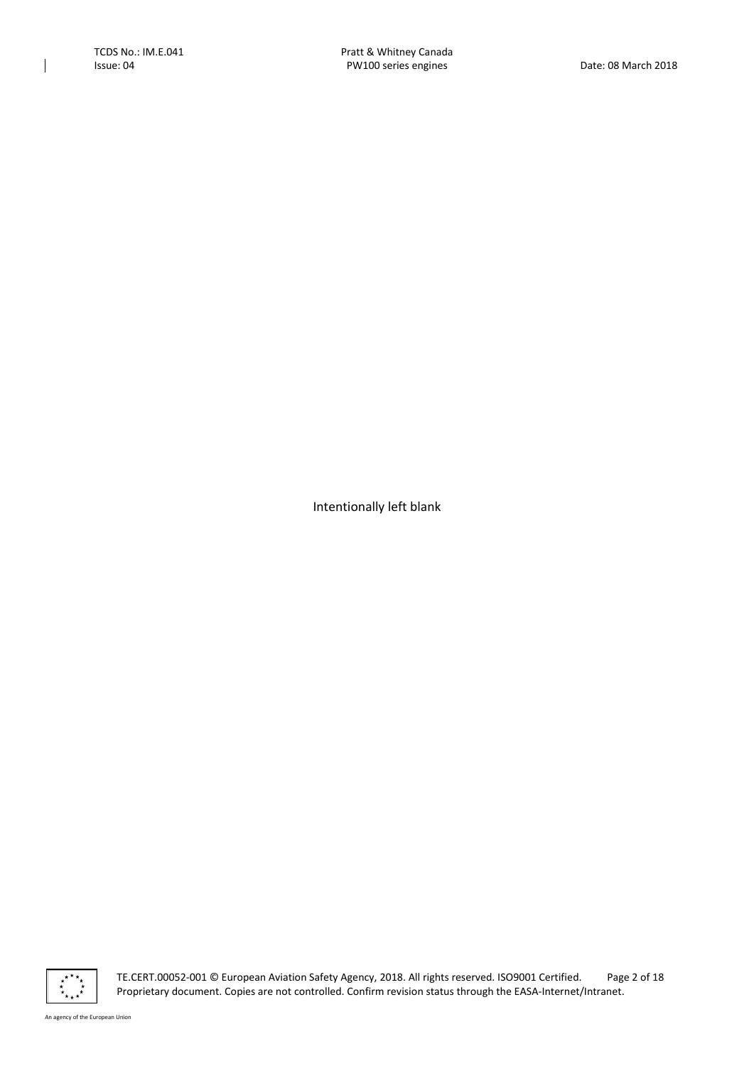Intentionally left blank



TE.CERT.00052-001 © European Aviation Safety Agency, 2018. All rights reserved. ISO9001 Certified. Page 2 of 18 Proprietary document. Copies are not controlled. Confirm revision status through the EASA-Internet/Intranet.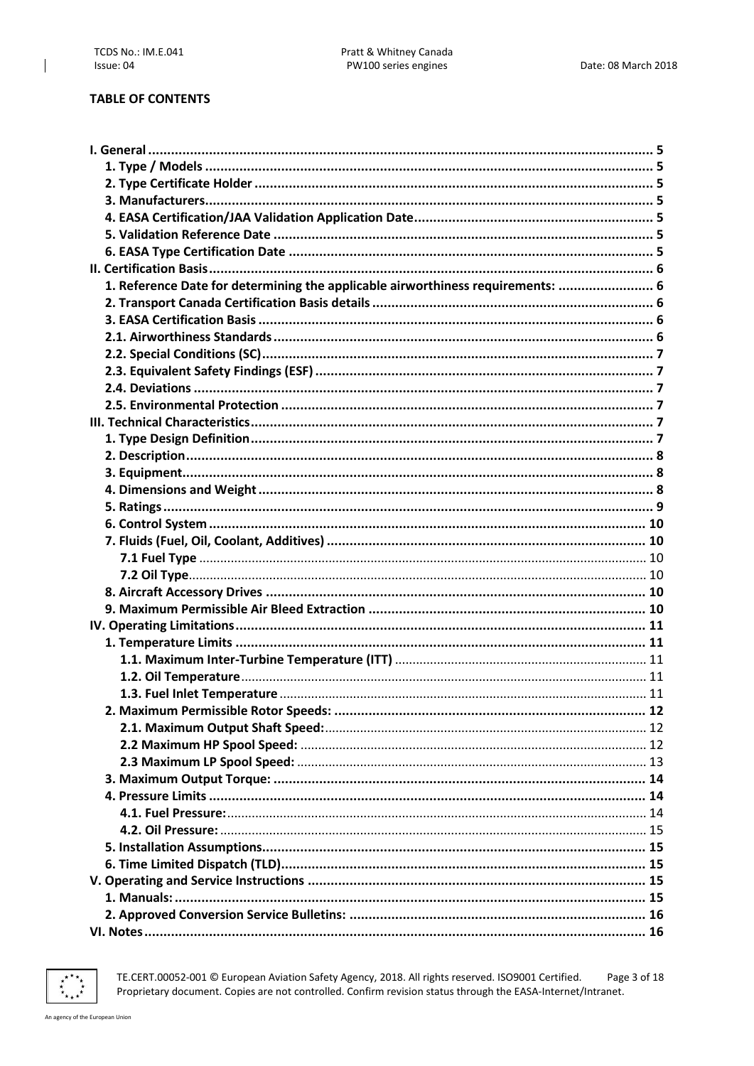## **TABLE OF CONTENTS**

| 1. Reference Date for determining the applicable airworthiness requirements:  6 |  |
|---------------------------------------------------------------------------------|--|
|                                                                                 |  |
|                                                                                 |  |
|                                                                                 |  |
|                                                                                 |  |
|                                                                                 |  |
|                                                                                 |  |
|                                                                                 |  |
|                                                                                 |  |
|                                                                                 |  |
|                                                                                 |  |
|                                                                                 |  |
|                                                                                 |  |
|                                                                                 |  |
|                                                                                 |  |
|                                                                                 |  |
|                                                                                 |  |
|                                                                                 |  |
|                                                                                 |  |
|                                                                                 |  |
|                                                                                 |  |
|                                                                                 |  |
|                                                                                 |  |
|                                                                                 |  |
|                                                                                 |  |
|                                                                                 |  |
|                                                                                 |  |
|                                                                                 |  |
|                                                                                 |  |
|                                                                                 |  |
|                                                                                 |  |
|                                                                                 |  |
|                                                                                 |  |
|                                                                                 |  |
|                                                                                 |  |
|                                                                                 |  |
|                                                                                 |  |
|                                                                                 |  |
|                                                                                 |  |



TE.CERT.00052-001 © European Aviation Safety Agency, 2018. All rights reserved. ISO9001 Certified. Page 3 of 18 Proprietary document. Copies are not controlled. Confirm revision status through the EASA-Internet/Intranet.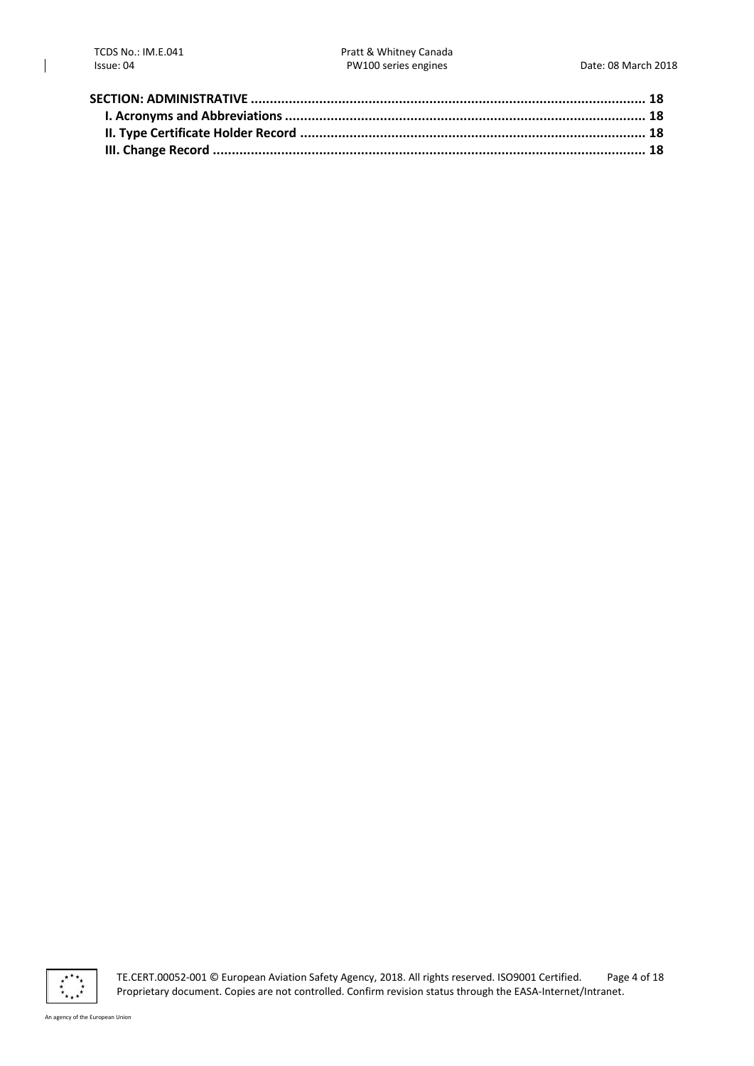| SECTION: ADMINISTRATIVE …………………………………………………………………………………………… 18 |  |
|----------------------------------------------------------------|--|
|                                                                |  |
|                                                                |  |
|                                                                |  |
|                                                                |  |



TE.CERT.00052-001 © European Aviation Safety Agency, 2018. All rights reserved. ISO9001 Certified. Page 4 of 18 Proprietary document. Copies are not controlled. Confirm revision status through the EASA-Internet/Intranet.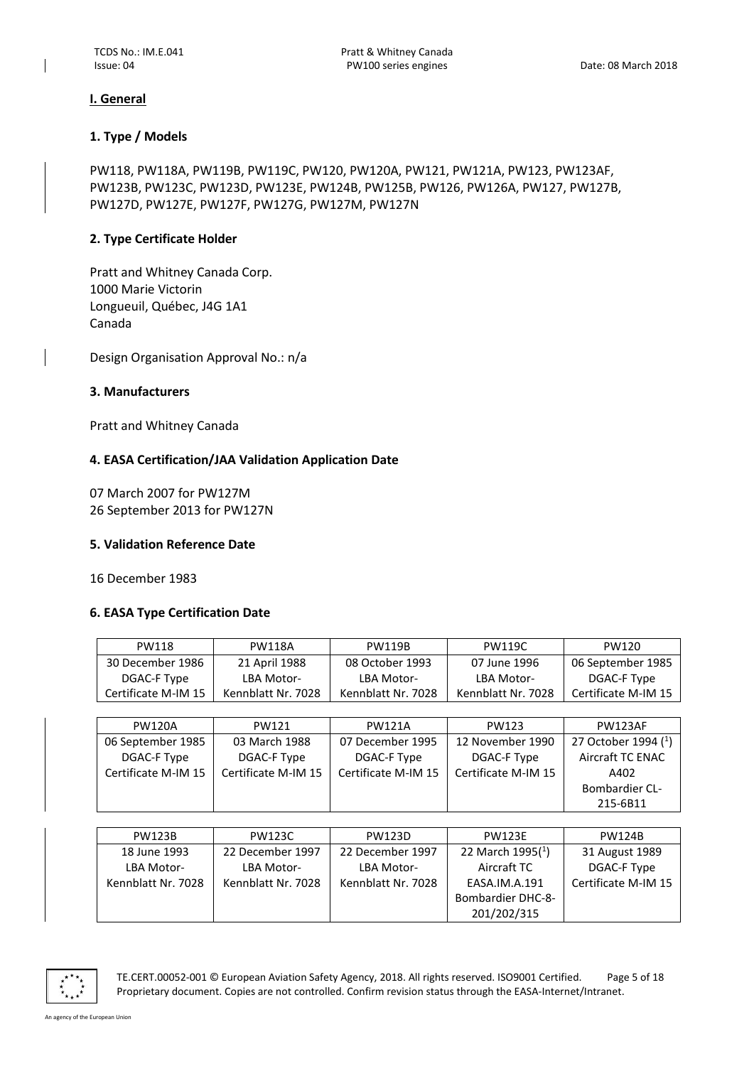## <span id="page-4-0"></span>**I. General**

## <span id="page-4-1"></span>**1. Type / Models**

PW118, PW118A, PW119B, PW119C, PW120, PW120A, PW121, PW121A, PW123, PW123AF, PW123B, PW123C, PW123D, PW123E, PW124B, PW125B, PW126, PW126A, PW127, PW127B, PW127D, PW127E, PW127F, PW127G, PW127M, PW127N

## <span id="page-4-2"></span>**2. Type Certificate Holder**

Pratt and Whitney Canada Corp. 1000 Marie Victorin Longueuil, Québec, J4G 1A1 Canada

Design Organisation Approval No.: n/a

## <span id="page-4-3"></span>**3. Manufacturers**

Pratt and Whitney Canada

## <span id="page-4-4"></span>**4. EASA Certification/JAA Validation Application Date**

07 March 2007 for PW127M 26 September 2013 for PW127N

## <span id="page-4-5"></span>**5. Validation Reference Date**

16 December 1983

## <span id="page-4-6"></span>**6. EASA Type Certification Date**

| PW118               | PW118A             | <b>PW119B</b>      | <b>PW119C</b>      | PW120               |
|---------------------|--------------------|--------------------|--------------------|---------------------|
| 30 December 1986    | 21 April 1988      | 08 October 1993    | 07 June 1996       | 06 September 1985   |
| DGAC-F Type         | LBA Motor-         | LBA Motor-         | LBA Motor-         | DGAC-F Type         |
| Certificate M-IM 15 | Kennblatt Nr. 7028 | Kennblatt Nr. 7028 | Kennblatt Nr. 7028 | Certificate M-IM 15 |

| <b>PW120A</b>       | PW121               | <b>PW121A</b>       | PW123               | PW123AF                          |
|---------------------|---------------------|---------------------|---------------------|----------------------------------|
| 06 September 1985   | 03 March 1988       | 07 December 1995    | 12 November 1990    | 27 October 1994 ( <sup>1</sup> ) |
| DGAC-F Type         | DGAC-F Type         | DGAC-F Type         | DGAC-F Type         | Aircraft TC ENAC                 |
| Certificate M-IM 15 | Certificate M-IM 15 | Certificate M-IM 15 | Certificate M-IM 15 | A402                             |
|                     |                     |                     |                     | <b>Bombardier CL-</b>            |
|                     |                     |                     |                     | 215-6B11                         |

| <b>PW123B</b>      | <b>PW123C</b>      | PW123D             | <b>PW123E</b>            | <b>PW124B</b>       |
|--------------------|--------------------|--------------------|--------------------------|---------------------|
| 18 June 1993       | 22 December 1997   | 22 December 1997   | 22 March $1995(^1)$      | 31 August 1989      |
| LBA Motor-         | LBA Motor-         | LBA Motor-         | Aircraft TC              | DGAC-F Type         |
| Kennblatt Nr. 7028 | Kennblatt Nr. 7028 | Kennblatt Nr. 7028 | EASA.IM.A.191            | Certificate M-IM 15 |
|                    |                    |                    | <b>Bombardier DHC-8-</b> |                     |
|                    |                    |                    | 201/202/315              |                     |



TE.CERT.00052-001 © European Aviation Safety Agency, 2018. All rights reserved. ISO9001 Certified. Page 5 of 18 Proprietary document. Copies are not controlled. Confirm revision status through the EASA-Internet/Intranet.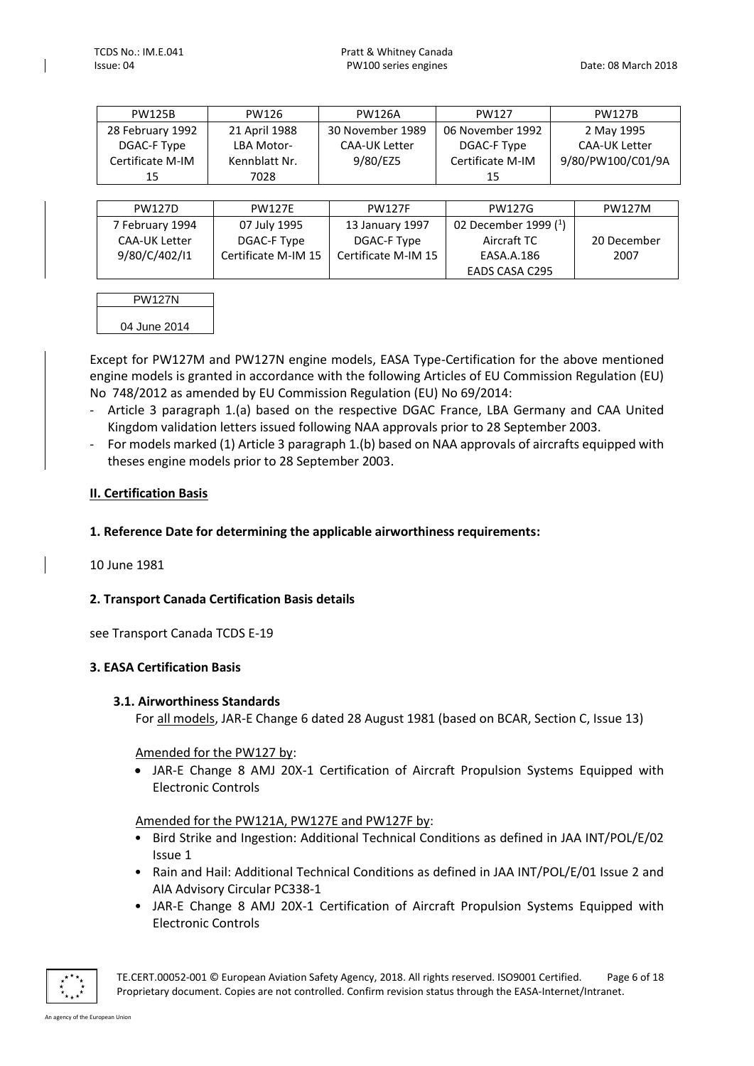| <b>PW125B</b>    | PW126                | <b>PW126A</b>        | <b>PW127</b>     | <b>PW127B</b>                   |
|------------------|----------------------|----------------------|------------------|---------------------------------|
| 28 February 1992 | 21 April 1988        | 30 November 1989     | 06 November 1992 | 2 May 1995                      |
| DGAC-F Type      | LBA Motor-           | <b>CAA-UK Letter</b> | DGAC-F Type      | <b>CAA-UK Letter</b>            |
| Certificate M-IM | Kennblatt Nr.        | 9/80/EZ5             | Certificate M-IM | 9/80/PW100/C01/9A               |
| 15               | 7028                 |                      | 15               |                                 |
|                  |                      |                      |                  |                                 |
| M1127D           | $N$ $N$ $13$ $7$ $F$ | $N$ $N$ $137$ $E$    | NML127C          | $N$ $N$ $I$ $I$ $I$ $I$ $R$ $I$ |

| <b>PW127D</b>        | <b>PW127E</b>       | <b>PW127F</b>       | <b>PW127G</b>          |             |
|----------------------|---------------------|---------------------|------------------------|-------------|
| 7 February 1994      | 07 July 1995        | 13 January 1997     | 02 December 1999 $(1)$ |             |
| <b>CAA-UK Letter</b> | DGAC-F Type         | DGAC-F Type         | Aircraft TC            | 20 December |
| 9/80/C/402/I1        | Certificate M-IM 15 | Certificate M-IM 15 | EASA.A.186             | 2007        |
|                      |                     |                     | EADS CASA C295         |             |

| <b>PW127N</b> |  |
|---------------|--|
|               |  |
| 04 June 2014  |  |

Except for PW127M and PW127N engine models, EASA Type-Certification for the above mentioned engine models is granted in accordance with the following Articles of EU Commission Regulation (EU) No 748/2012 as amended by EU Commission Regulation (EU) No 69/2014:

- Article 3 paragraph 1.(a) based on the respective DGAC France, LBA Germany and CAA United Kingdom validation letters issued following NAA approvals prior to 28 September 2003.
- For models marked (1) Article 3 paragraph 1.(b) based on NAA approvals of aircrafts equipped with theses engine models prior to 28 September 2003.

# <span id="page-5-0"></span>**II. Certification Basis**

# <span id="page-5-1"></span>**1. Reference Date for determining the applicable airworthiness requirements:**

10 June 1981

# <span id="page-5-2"></span>**2. Transport Canada Certification Basis details**

see Transport Canada TCDS E-19

# <span id="page-5-3"></span>**3. EASA Certification Basis**

# <span id="page-5-4"></span>**3.1. Airworthiness Standards**

For all models, JAR-E Change 6 dated 28 August 1981 (based on BCAR, Section C, Issue 13)

# Amended for the PW127 by:

 JAR-E Change 8 AMJ 20X-1 Certification of Aircraft Propulsion Systems Equipped with Electronic Controls

Amended for the PW121A, PW127E and PW127F by:

- Bird Strike and Ingestion: Additional Technical Conditions as defined in JAA INT/POL/E/02 Issue 1
- Rain and Hail: Additional Technical Conditions as defined in JAA INT/POL/E/01 Issue 2 and AIA Advisory Circular PC338-1
- JAR-E Change 8 AMJ 20X-1 Certification of Aircraft Propulsion Systems Equipped with Electronic Controls

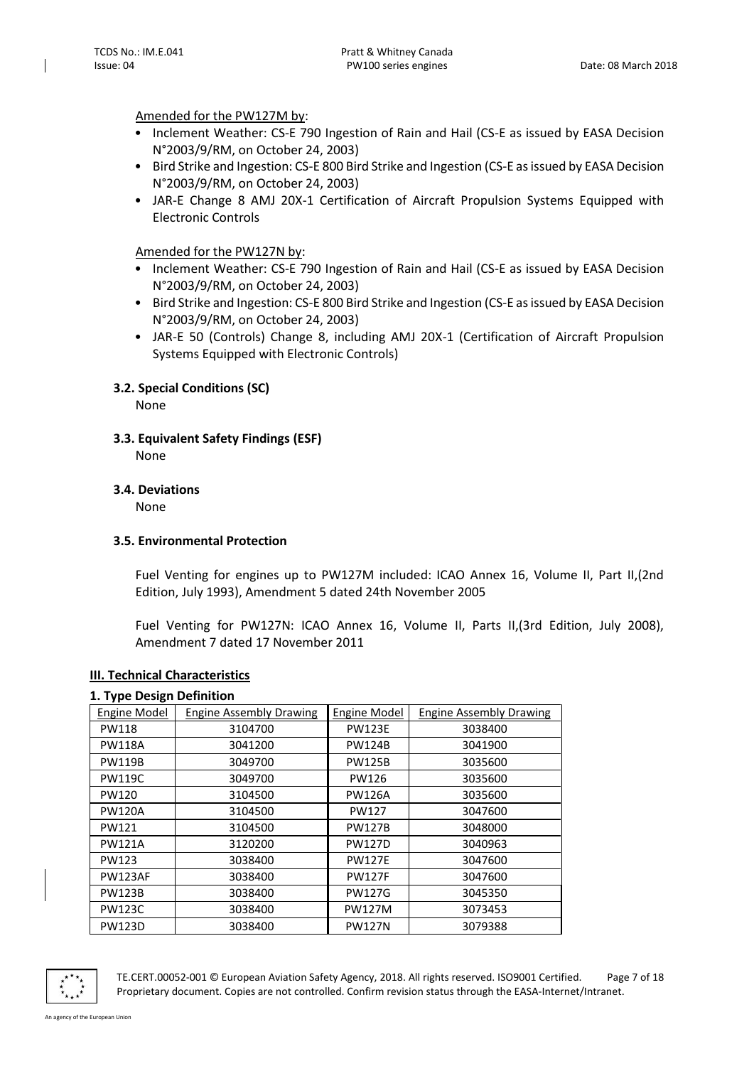#### Amended for the PW127M by:

- Inclement Weather: CS-E 790 Ingestion of Rain and Hail (CS-E as issued by EASA Decision N°2003/9/RM, on October 24, 2003)
- Bird Strike and Ingestion: CS-E 800 Bird Strike and Ingestion (CS-E as issued by EASA Decision N°2003/9/RM, on October 24, 2003)
- JAR-E Change 8 AMJ 20X-1 Certification of Aircraft Propulsion Systems Equipped with Electronic Controls

## Amended for the PW127N by:

- Inclement Weather: CS-E 790 Ingestion of Rain and Hail (CS-E as issued by EASA Decision N°2003/9/RM, on October 24, 2003)
- Bird Strike and Ingestion: CS-E 800 Bird Strike and Ingestion (CS-E as issued by EASA Decision N°2003/9/RM, on October 24, 2003)
- JAR-E 50 (Controls) Change 8, including AMJ 20X-1 (Certification of Aircraft Propulsion Systems Equipped with Electronic Controls)

## <span id="page-6-0"></span>**3.2. Special Conditions (SC)**

None

<span id="page-6-1"></span>**3.3. Equivalent Safety Findings (ESF)** None

#### <span id="page-6-2"></span>**3.4. Deviations**

None

#### <span id="page-6-3"></span>**3.5. Environmental Protection**

Fuel Venting for engines up to PW127M included: ICAO Annex 16, Volume II, Part II,(2nd Edition, July 1993), Amendment 5 dated 24th November 2005

Fuel Venting for PW127N: ICAO Annex 16, Volume II, Parts II,(3rd Edition, July 2008), Amendment 7 dated 17 November 2011

#### <span id="page-6-4"></span>**III. Technical Characteristics**

## <span id="page-6-5"></span>**1. Type Design Definition**

| . <del>. .</del>    |                                |                     |                                |  |  |
|---------------------|--------------------------------|---------------------|--------------------------------|--|--|
| <b>Engine Model</b> | <b>Engine Assembly Drawing</b> | <b>Engine Model</b> | <b>Engine Assembly Drawing</b> |  |  |
| <b>PW118</b>        | 3104700                        | <b>PW123E</b>       | 3038400                        |  |  |
| <b>PW118A</b>       | 3041200                        | <b>PW124B</b>       | 3041900                        |  |  |
| <b>PW119B</b>       | 3049700                        | <b>PW125B</b>       | 3035600                        |  |  |
| <b>PW119C</b>       | 3049700                        | PW126               | 3035600                        |  |  |
| PW120               | 3104500                        | <b>PW126A</b>       | 3035600                        |  |  |
| <b>PW120A</b>       | 3104500                        | <b>PW127</b>        | 3047600                        |  |  |
| PW121               | 3104500                        | <b>PW127B</b>       | 3048000                        |  |  |
| <b>PW121A</b>       | 3120200                        | <b>PW127D</b>       | 3040963                        |  |  |
| PW123               | 3038400                        | <b>PW127E</b>       | 3047600                        |  |  |
| <b>PW123AF</b>      | 3038400                        | <b>PW127F</b>       | 3047600                        |  |  |
| <b>PW123B</b>       | 3038400                        | <b>PW127G</b>       | 3045350                        |  |  |
| <b>PW123C</b>       | 3038400                        | <b>PW127M</b>       | 3073453                        |  |  |
| <b>PW123D</b>       | 3038400                        | <b>PW127N</b>       | 3079388                        |  |  |

<span id="page-6-6"></span>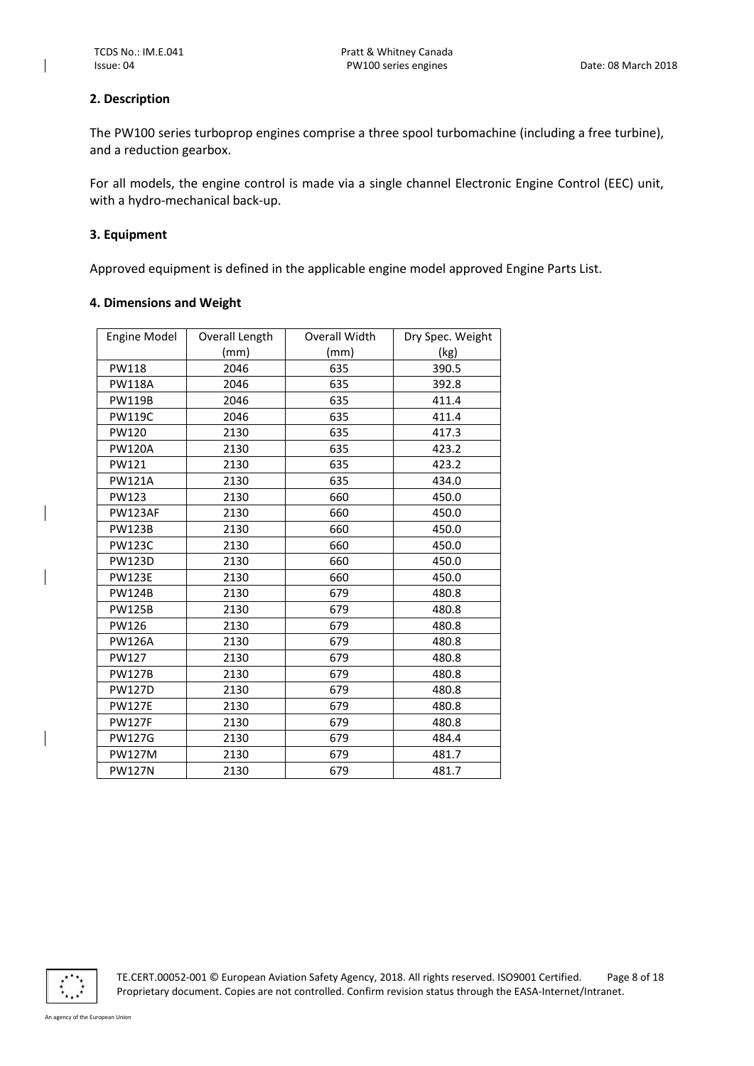## **2. Description**

The PW100 series turboprop engines comprise a three spool turbomachine (including a free turbine), and a reduction gearbox.

For all models, the engine control is made via a single channel Electronic Engine Control (EEC) unit, with a hydro-mechanical back-up.

## <span id="page-7-0"></span>**3. Equipment**

Approved equipment is defined in the applicable engine model approved Engine Parts List.

#### <span id="page-7-1"></span>**4. Dimensions and Weight**

| <b>Engine Model</b> | Overall Length | Overall Width | Dry Spec. Weight |
|---------------------|----------------|---------------|------------------|
|                     | (mm)           | (mm)          | (kg)             |
| <b>PW118</b>        | 2046           | 635           | 390.5            |
| <b>PW118A</b>       | 2046           | 635           | 392.8            |
| <b>PW119B</b>       | 2046           | 635           | 411.4            |
| <b>PW119C</b>       | 2046           | 635           | 411.4            |
| PW120               | 2130           | 635           | 417.3            |
| <b>PW120A</b>       | 2130           | 635           | 423.2            |
| PW121               | 2130           | 635           | 423.2            |
| <b>PW121A</b>       | 2130           | 635           | 434.0            |
| PW123               | 2130           | 660           | 450.0            |
| <b>PW123AF</b>      | 2130           | 660           | 450.0            |
| <b>PW123B</b>       | 2130           | 660           | 450.0            |
| <b>PW123C</b>       | 2130           | 660           | 450.0            |
| <b>PW123D</b>       | 2130           | 660           | 450.0            |
| <b>PW123E</b>       | 2130           | 660           | 450.0            |
| <b>PW124B</b>       | 2130           | 679           | 480.8            |
| <b>PW125B</b>       | 2130           | 679           | 480.8            |
| PW126               | 2130           | 679           | 480.8            |
| <b>PW126A</b>       | 2130           | 679           | 480.8            |
| PW127               | 2130           | 679           | 480.8            |
| <b>PW127B</b>       | 2130           | 679           | 480.8            |
| <b>PW127D</b>       | 2130           | 679           | 480.8            |
| <b>PW127E</b>       | 2130           | 679           | 480.8            |
| <b>PW127F</b>       | 2130           | 679           | 480.8            |
| <b>PW127G</b>       | 2130           | 679           | 484.4            |
| <b>PW127M</b>       | 2130           | 679           | 481.7            |
| <b>PW127N</b>       | 2130           | 679           | 481.7            |

TE.CERT.00052-001 © European Aviation Safety Agency, 2018. All rights reserved. ISO9001 Certified. Page 8 of 18 Proprietary document. Copies are not controlled. Confirm revision status through the EASA-Internet/Intranet.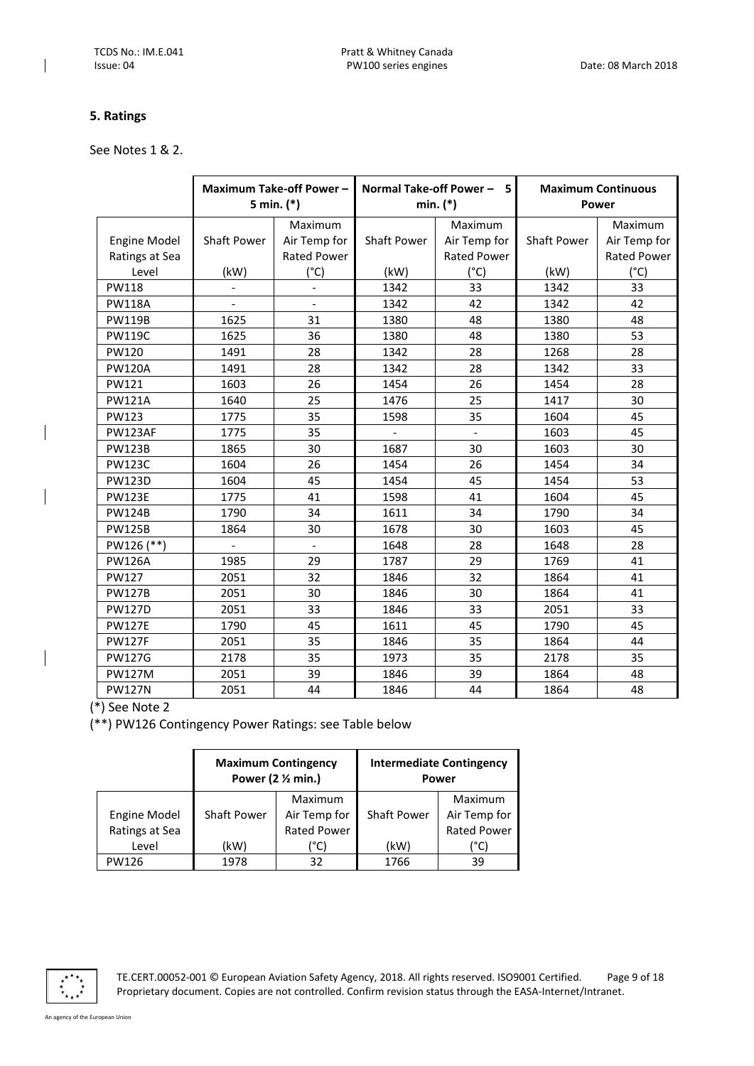#### <span id="page-8-0"></span>**5. Ratings**

#### See Notes 1 & 2.

|                     | Maximum Take-off Power -<br>5 min. (*) |                          | Normal Take-off Power - 5<br>$min. (*)$ |                    | <b>Maximum Continuous</b><br>Power |                    |
|---------------------|----------------------------------------|--------------------------|-----------------------------------------|--------------------|------------------------------------|--------------------|
|                     |                                        | Maximum                  |                                         | Maximum            |                                    | Maximum            |
| <b>Engine Model</b> | <b>Shaft Power</b>                     | Air Temp for             | Shaft Power                             | Air Temp for       | <b>Shaft Power</b>                 | Air Temp for       |
| Ratings at Sea      |                                        | <b>Rated Power</b>       |                                         | <b>Rated Power</b> |                                    | <b>Rated Power</b> |
| Level               | (kW)                                   | $(^{\circ}C)$            | (kW)                                    | $(^{\circ}C)$      | (kW)                               | $(^{\circ}C)$      |
| PW118               |                                        |                          | 1342                                    | 33                 | 1342                               | 33                 |
| <b>PW118A</b>       | $\overline{a}$                         | $\overline{\phantom{a}}$ | 1342                                    | 42                 | 1342                               | 42                 |
| <b>PW119B</b>       | 1625                                   | 31                       | 1380                                    | 48                 | 1380                               | 48                 |
| <b>PW119C</b>       | 1625                                   | 36                       | 1380                                    | 48                 | 1380                               | 53                 |
| PW120               | 1491                                   | 28                       | 1342                                    | 28                 | 1268                               | 28                 |
| <b>PW120A</b>       | 1491                                   | 28                       | 1342                                    | 28                 | 1342                               | 33                 |
| PW121               | 1603                                   | 26                       | 1454                                    | 26                 | 1454                               | 28                 |
| <b>PW121A</b>       | 1640                                   | 25                       | 1476                                    | 25                 | 1417                               | 30                 |
| PW123               | 1775                                   | 35                       | 1598                                    | 35                 | 1604                               | 45                 |
| PW123AF             | 1775                                   | 35                       |                                         |                    | 1603                               | 45                 |
| <b>PW123B</b>       | 1865                                   | 30                       | 1687                                    | 30                 | 1603                               | 30                 |
| <b>PW123C</b>       | 1604                                   | 26                       | 1454                                    | 26                 | 1454                               | 34                 |
| <b>PW123D</b>       | 1604                                   | 45                       | 1454                                    | 45                 | 1454                               | 53                 |
| <b>PW123E</b>       | 1775                                   | 41                       | 1598                                    | 41                 | 1604                               | 45                 |
| <b>PW124B</b>       | 1790                                   | 34                       | 1611                                    | 34                 | 1790                               | 34                 |
| <b>PW125B</b>       | 1864                                   | 30                       | 1678                                    | 30                 | 1603                               | 45                 |
| PW126 (**)          |                                        |                          | 1648                                    | 28                 | 1648                               | 28                 |
| <b>PW126A</b>       | 1985                                   | 29                       | 1787                                    | 29                 | 1769                               | 41                 |
| PW127               | 2051                                   | 32                       | 1846                                    | 32                 | 1864                               | 41                 |
| <b>PW127B</b>       | 2051                                   | 30                       | 1846                                    | 30                 | 1864                               | 41                 |
| <b>PW127D</b>       | 2051                                   | 33                       | 1846                                    | 33                 | 2051                               | 33                 |
| <b>PW127E</b>       | 1790                                   | 45                       | 1611                                    | 45                 | 1790                               | 45                 |
| <b>PW127F</b>       | 2051                                   | 35                       | 1846                                    | 35                 | 1864                               | 44                 |
| <b>PW127G</b>       | 2178                                   | 35                       | 1973                                    | 35                 | 2178                               | 35                 |
| <b>PW127M</b>       | 2051                                   | 39                       | 1846                                    | 39                 | 1864                               | 48                 |
| <b>PW127N</b>       | 2051                                   | 44                       | 1846                                    | 44                 | 1864                               | 48                 |

(\*) See Note 2

(\*\*) PW126 Contingency Power Ratings: see Table below

|                                |                    | <b>Maximum Contingency</b><br>Power (2 % min.) |                    | <b>Intermediate Contingency</b><br><b>Power</b> |
|--------------------------------|--------------------|------------------------------------------------|--------------------|-------------------------------------------------|
| Engine Model<br>Ratings at Sea | <b>Shaft Power</b> | Maximum<br>Air Temp for<br><b>Rated Power</b>  | <b>Shaft Power</b> | Maximum<br>Air Temp for<br><b>Rated Power</b>   |
| Level                          | (kW)               | $^{\prime\circ}$ C)                            | (kW)               | °C)                                             |
| PW126                          | 1978               | 32                                             | 1766               | 39                                              |



TE.CERT.00052-001 © European Aviation Safety Agency, 2018. All rights reserved. ISO9001 Certified. Page 9 of 18 Proprietary document. Copies are not controlled. Confirm revision status through the EASA-Internet/Intranet.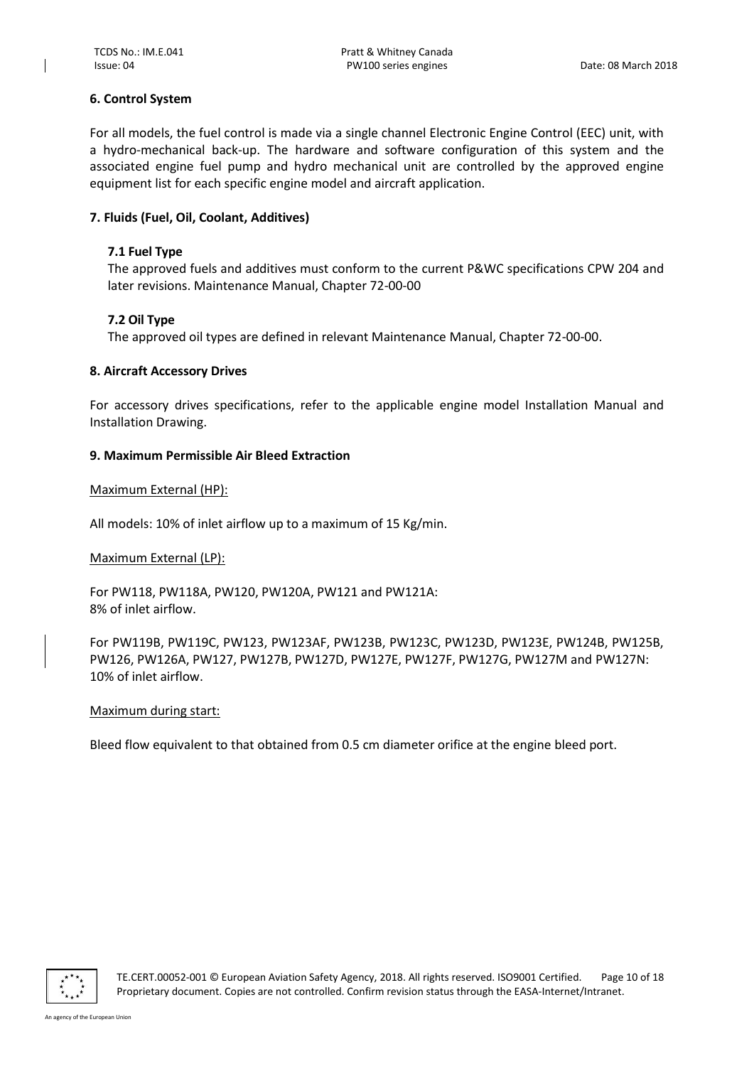## <span id="page-9-0"></span>**6. Control System**

For all models, the fuel control is made via a single channel Electronic Engine Control (EEC) unit, with a hydro-mechanical back-up. The hardware and software configuration of this system and the associated engine fuel pump and hydro mechanical unit are controlled by the approved engine equipment list for each specific engine model and aircraft application.

## <span id="page-9-1"></span>**7. Fluids (Fuel, Oil, Coolant, Additives)**

## <span id="page-9-2"></span>**7.1 Fuel Type**

The approved fuels and additives must conform to the current P&WC specifications CPW 204 and later revisions. Maintenance Manual, Chapter 72-00-00

## <span id="page-9-3"></span>**7.2 Oil Type**

The approved oil types are defined in relevant Maintenance Manual, Chapter 72-00-00.

## <span id="page-9-4"></span>**8. Aircraft Accessory Drives**

For accessory drives specifications, refer to the applicable engine model Installation Manual and Installation Drawing.

## <span id="page-9-5"></span>**9. Maximum Permissible Air Bleed Extraction**

#### Maximum External (HP):

All models: 10% of inlet airflow up to a maximum of 15 Kg/min.

## Maximum External (LP):

For PW118, PW118A, PW120, PW120A, PW121 and PW121A: 8% of inlet airflow.

For PW119B, PW119C, PW123, PW123AF, PW123B, PW123C, PW123D, PW123E, PW124B, PW125B, PW126, PW126A, PW127, PW127B, PW127D, PW127E, PW127F, PW127G, PW127M and PW127N: 10% of inlet airflow.

## Maximum during start:

Bleed flow equivalent to that obtained from 0.5 cm diameter orifice at the engine bleed port.



TE.CERT.00052-001 © European Aviation Safety Agency, 2018. All rights reserved. ISO9001 Certified. Page 10 of 18 Proprietary document. Copies are not controlled. Confirm revision status through the EASA-Internet/Intranet.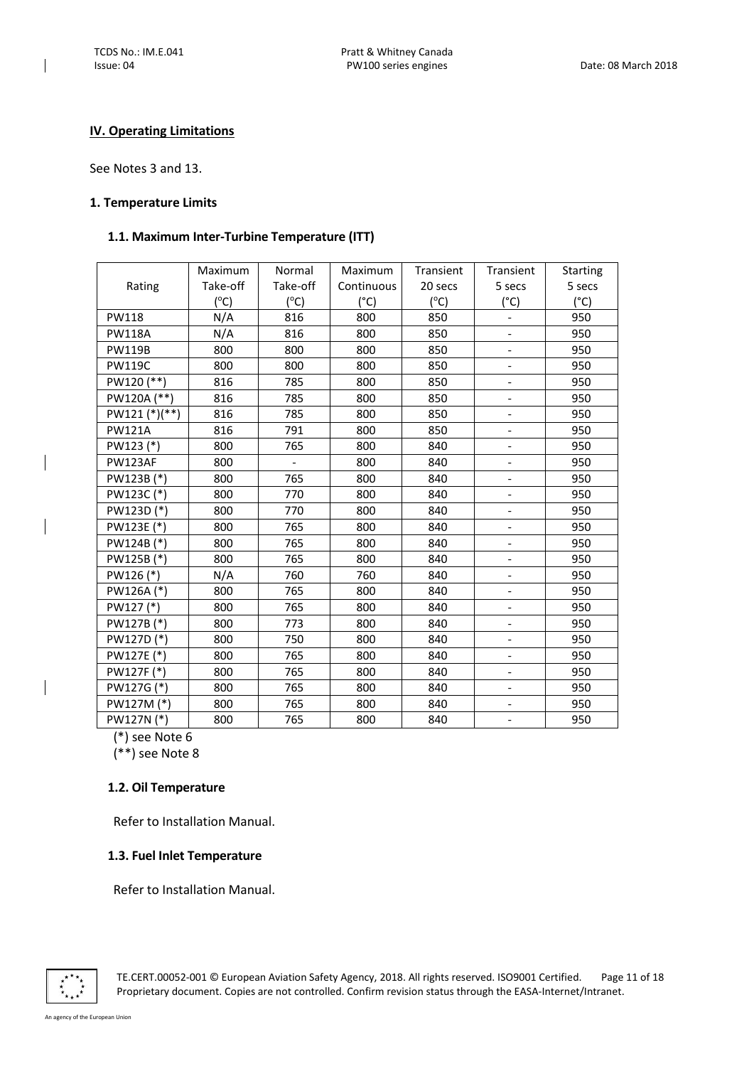## <span id="page-10-0"></span>**IV. Operating Limitations**

See Notes 3 and 13.

## <span id="page-10-1"></span>**1. Temperature Limits**

## <span id="page-10-2"></span>**1.1. Maximum Inter-Turbine Temperature (ITT)**

|                | Maximum  | Normal        | Maximum       | Transient | Transient                    | <b>Starting</b> |
|----------------|----------|---------------|---------------|-----------|------------------------------|-----------------|
| Rating         | Take-off | Take-off      | Continuous    | 20 secs   | 5 secs                       | 5 secs          |
|                | (°C)     | (°C)          | $(^{\circ}C)$ | (°C)      | $(^{\circ}C)$                | $(^{\circ}C)$   |
| <b>PW118</b>   | N/A      | 816           | 800           | 850       |                              | 950             |
| <b>PW118A</b>  | N/A      | 816           | 800           | 850       | $\qquad \qquad \blacksquare$ | 950             |
| <b>PW119B</b>  | 800      | 800           | 800           | 850       | $\overline{\phantom{0}}$     | 950             |
| <b>PW119C</b>  | 800      | 800           | 800           | 850       |                              | 950             |
| PW120 (**)     | 816      | 785           | 800           | 850       | $\qquad \qquad \blacksquare$ | 950             |
| PW120A (**)    | 816      | 785           | 800           | 850       | $\overline{\phantom{0}}$     | 950             |
| PW121 (*)(**)  | 816      | 785           | 800           | 850       | $\overline{\phantom{0}}$     | 950             |
| <b>PW121A</b>  | 816      | 791           | 800           | 850       | $\qquad \qquad \blacksquare$ | 950             |
| PW123 (*)      | 800      | 765           | 800           | 840       | $\qquad \qquad \blacksquare$ | 950             |
| <b>PW123AF</b> | 800      | $\frac{1}{2}$ | 800           | 840       | $\overline{\phantom{0}}$     | 950             |
| PW123B (*)     | 800      | 765           | 800           | 840       | $\overline{a}$               | 950             |
| PW123C (*)     | 800      | 770           | 800           | 840       | $\overline{\phantom{a}}$     | 950             |
| PW123D (*)     | 800      | 770           | 800           | 840       | $\overline{\phantom{0}}$     | 950             |
| PW123E (*)     | 800      | 765           | 800           | 840       | $\overline{\phantom{0}}$     | 950             |
| PW124B (*)     | 800      | 765           | 800           | 840       | $\overline{\phantom{0}}$     | 950             |
| PW125B (*)     | 800      | 765           | 800           | 840       | $\overline{\phantom{0}}$     | 950             |
| PW126 (*)      | N/A      | 760           | 760           | 840       | $\overline{\phantom{0}}$     | 950             |
| PW126A (*)     | 800      | 765           | 800           | 840       | $\overline{a}$               | 950             |
| PW127 (*)      | 800      | 765           | 800           | 840       | $\overline{\phantom{a}}$     | 950             |
| PW127B (*)     | 800      | 773           | 800           | 840       | $\overline{\phantom{0}}$     | 950             |
| PW127D (*)     | 800      | 750           | 800           | 840       | $\overline{\phantom{0}}$     | 950             |
| PW127E (*)     | 800      | 765           | 800           | 840       | $\overline{\phantom{0}}$     | 950             |
| PW127F (*)     | 800      | 765           | 800           | 840       | $\overline{a}$               | 950             |
| PW127G (*)     | 800      | 765           | 800           | 840       | $\overline{\phantom{a}}$     | 950             |
| PW127M (*)     | 800      | 765           | 800           | 840       | $\qquad \qquad \blacksquare$ | 950             |
| PW127N (*)     | 800      | 765           | 800           | 840       | $\overline{\phantom{0}}$     | 950             |

(\*) see Note 6

(\*\*) see Note 8

## <span id="page-10-3"></span>**1.2. Oil Temperature**

Refer to Installation Manual.

## <span id="page-10-4"></span>**1.3. Fuel Inlet Temperature**

Refer to Installation Manual.



TE.CERT.00052-001 © European Aviation Safety Agency, 2018. All rights reserved. ISO9001 Certified. Page 11 of 18 Proprietary document. Copies are not controlled. Confirm revision status through the EASA-Internet/Intranet.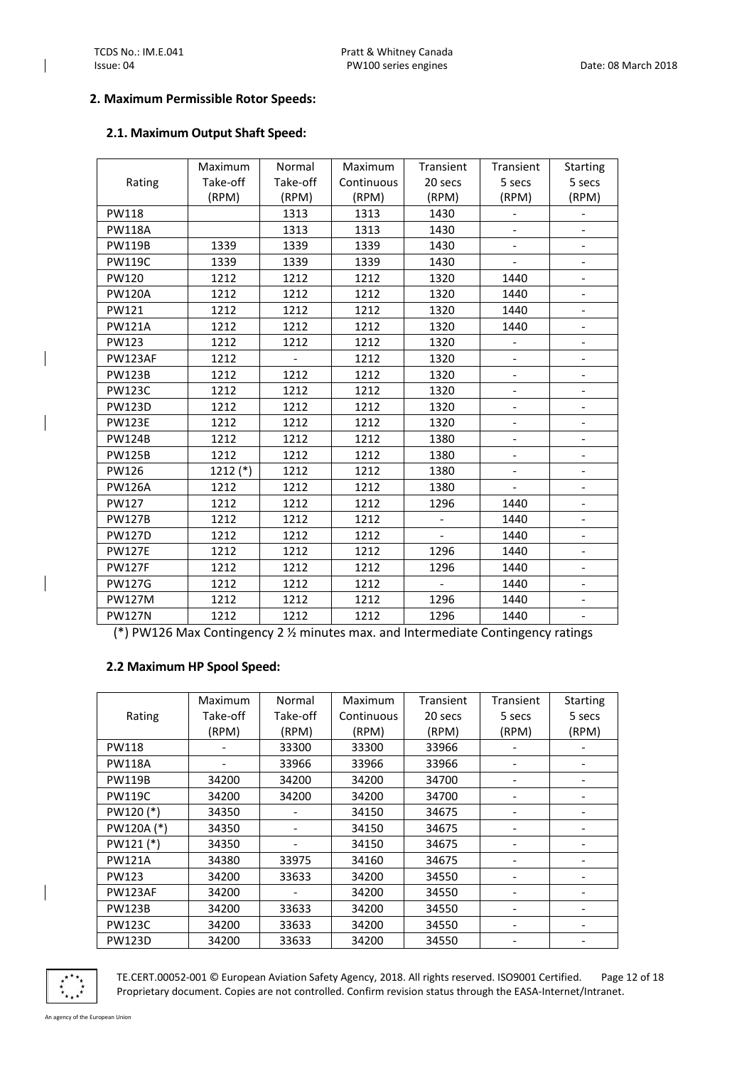#### <span id="page-11-0"></span>**2. Maximum Permissible Rotor Speeds:**

#### <span id="page-11-1"></span>**2.1. Maximum Output Shaft Speed:**

|                | Maximum    | Normal   | Maximum    | Transient                | Transient                | Starting                 |
|----------------|------------|----------|------------|--------------------------|--------------------------|--------------------------|
| Rating         | Take-off   | Take-off | Continuous | 20 secs                  | 5 secs                   | 5 secs                   |
|                | (RPM)      | (RPM)    | (RPM)      | (RPM)                    | (RPM)                    | (RPM)                    |
| <b>PW118</b>   |            | 1313     | 1313       | 1430                     | $\overline{\phantom{0}}$ | $\overline{\phantom{a}}$ |
| <b>PW118A</b>  |            | 1313     | 1313       | 1430                     |                          |                          |
| <b>PW119B</b>  | 1339       | 1339     | 1339       | 1430                     | $\overline{\phantom{0}}$ | $\overline{\phantom{a}}$ |
| <b>PW119C</b>  | 1339       | 1339     | 1339       | 1430                     |                          |                          |
| <b>PW120</b>   | 1212       | 1212     | 1212       | 1320                     | 1440                     |                          |
| <b>PW120A</b>  | 1212       | 1212     | 1212       | 1320                     | 1440                     |                          |
| PW121          | 1212       | 1212     | 1212       | 1320                     | 1440                     | $\overline{\phantom{a}}$ |
| <b>PW121A</b>  | 1212       | 1212     | 1212       | 1320                     | 1440                     | $\overline{\phantom{a}}$ |
| <b>PW123</b>   | 1212       | 1212     | 1212       | 1320                     |                          |                          |
| <b>PW123AF</b> | 1212       |          | 1212       | 1320                     |                          | $\overline{\phantom{a}}$ |
| <b>PW123B</b>  | 1212       | 1212     | 1212       | 1320                     |                          |                          |
| <b>PW123C</b>  | 1212       | 1212     | 1212       | 1320                     |                          |                          |
| <b>PW123D</b>  | 1212       | 1212     | 1212       | 1320                     |                          | $\overline{\phantom{a}}$ |
| <b>PW123E</b>  | 1212       | 1212     | 1212       | 1320                     |                          |                          |
| <b>PW124B</b>  | 1212       | 1212     | 1212       | 1380                     |                          |                          |
| <b>PW125B</b>  | 1212       | 1212     | 1212       | 1380                     |                          |                          |
| PW126          | $1212$ (*) | 1212     | 1212       | 1380                     | $\overline{\phantom{0}}$ | $\overline{\phantom{a}}$ |
| <b>PW126A</b>  | 1212       | 1212     | 1212       | 1380                     |                          |                          |
| PW127          | 1212       | 1212     | 1212       | 1296                     | 1440                     |                          |
| <b>PW127B</b>  | 1212       | 1212     | 1212       | $\overline{\phantom{0}}$ | 1440                     | $\overline{\phantom{a}}$ |
| <b>PW127D</b>  | 1212       | 1212     | 1212       |                          | 1440                     | $\overline{\phantom{0}}$ |
| <b>PW127E</b>  | 1212       | 1212     | 1212       | 1296                     | 1440                     |                          |
| <b>PW127F</b>  | 1212       | 1212     | 1212       | 1296                     | 1440                     |                          |
| <b>PW127G</b>  | 1212       | 1212     | 1212       |                          | 1440                     | $\overline{\phantom{a}}$ |
| <b>PW127M</b>  | 1212       | 1212     | 1212       | 1296                     | 1440                     |                          |
| <b>PW127N</b>  | 1212       | 1212     | 1212       | 1296                     | 1440                     | $\overline{\phantom{a}}$ |

(\*) PW126 Max Contingency 2 ½ minutes max. and Intermediate Contingency ratings

## <span id="page-11-2"></span>**2.2 Maximum HP Spool Speed:**

|                | Maximum  | Normal                       | <b>Maximum</b> | Transient | Transient | <b>Starting</b> |
|----------------|----------|------------------------------|----------------|-----------|-----------|-----------------|
| Rating         | Take-off | Take-off                     | Continuous     | 20 secs   | 5 secs    | 5 secs          |
|                | (RPM)    | (RPM)                        | (RPM)          | (RPM)     | (RPM)     | (RPM)           |
| PW118          |          | 33300                        | 33300          | 33966     |           |                 |
| <b>PW118A</b>  |          | 33966                        | 33966          | 33966     |           |                 |
| <b>PW119B</b>  | 34200    | 34200                        | 34200          | 34700     |           |                 |
| <b>PW119C</b>  | 34200    | 34200                        | 34200          | 34700     |           |                 |
| PW120 (*)      | 34350    | -                            | 34150          | 34675     |           |                 |
| PW120A (*)     | 34350    | -                            | 34150          | 34675     |           |                 |
| PW121 (*)      | 34350    | $\qquad \qquad \blacksquare$ | 34150          | 34675     |           |                 |
| <b>PW121A</b>  | 34380    | 33975                        | 34160          | 34675     |           |                 |
| PW123          | 34200    | 33633                        | 34200          | 34550     |           |                 |
| <b>PW123AF</b> | 34200    |                              | 34200          | 34550     |           |                 |
| <b>PW123B</b>  | 34200    | 33633                        | 34200          | 34550     |           |                 |
| <b>PW123C</b>  | 34200    | 33633                        | 34200          | 34550     |           |                 |
| <b>PW123D</b>  | 34200    | 33633                        | 34200          | 34550     |           |                 |



TE.CERT.00052-001 © European Aviation Safety Agency, 2018. All rights reserved. ISO9001 Certified. Page 12 of 18 Proprietary document. Copies are not controlled. Confirm revision status through the EASA-Internet/Intranet.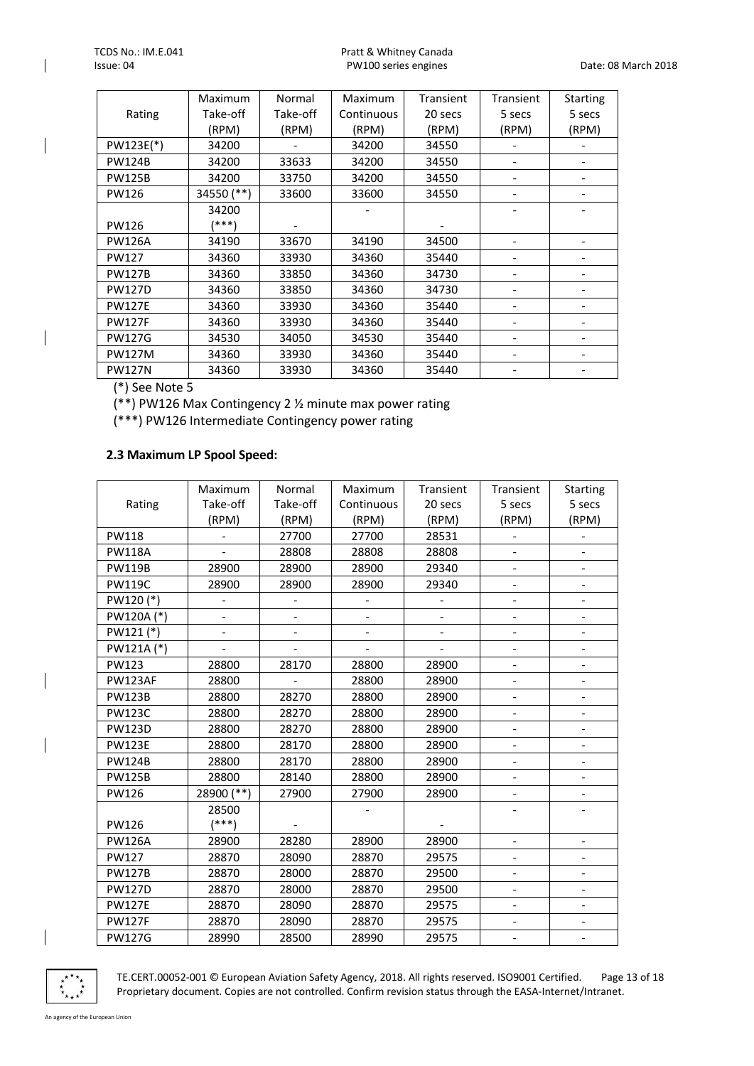#### TCDS No.: IM.E.041 **Pratt & Whitney Canada**<br>
Issue: 04 **PW100** series engines PW100 series engines Date: 08 March 2018

|               | Maximum    | Normal                   | Maximum    | Transient | Transient | <b>Starting</b> |
|---------------|------------|--------------------------|------------|-----------|-----------|-----------------|
| Rating        | Take-off   | Take-off                 | Continuous | 20 secs   | 5 secs    | 5 secs          |
|               | (RPM)      | (RPM)                    | (RPM)      | (RPM)     | (RPM)     | (RPM)           |
| PW123E(*)     | 34200      |                          | 34200      | 34550     |           |                 |
| <b>PW124B</b> | 34200      | 33633                    | 34200      | 34550     |           |                 |
| <b>PW125B</b> | 34200      | 33750                    | 34200      | 34550     |           |                 |
| PW126         | 34550 (**) | 33600                    | 33600      | 34550     |           |                 |
|               | 34200      |                          |            |           |           |                 |
| PW126         | '***)      | $\overline{\phantom{0}}$ |            |           |           |                 |
| <b>PW126A</b> | 34190      | 33670                    | 34190      | 34500     |           |                 |
| PW127         | 34360      | 33930                    | 34360      | 35440     |           |                 |
| <b>PW127B</b> | 34360      | 33850                    | 34360      | 34730     |           |                 |
| <b>PW127D</b> | 34360      | 33850                    | 34360      | 34730     |           |                 |
| <b>PW127E</b> | 34360      | 33930                    | 34360      | 35440     |           |                 |
| <b>PW127F</b> | 34360      | 33930                    | 34360      | 35440     |           |                 |
| <b>PW127G</b> | 34530      | 34050                    | 34530      | 35440     |           |                 |
| <b>PW127M</b> | 34360      | 33930                    | 34360      | 35440     |           |                 |
| <b>PW127N</b> | 34360      | 33930                    | 34360      | 35440     |           |                 |

(\*) See Note 5

(\*\*) PW126 Max Contingency 2 ½ minute max power rating

(\*\*\*) PW126 Intermediate Contingency power rating

#### <span id="page-12-0"></span>**2.3 Maximum LP Spool Speed:**

|                | <b>Maximum</b>           | Normal   | Maximum    | Transient | Transient                    | <b>Starting</b>          |
|----------------|--------------------------|----------|------------|-----------|------------------------------|--------------------------|
| Rating         | Take-off                 | Take-off | Continuous | 20 secs   | 5 secs                       | 5 secs                   |
|                | (RPM)                    | (RPM)    | (RPM)      | (RPM)     | (RPM)                        | (RPM)                    |
| <b>PW118</b>   |                          | 27700    | 27700      | 28531     |                              |                          |
| <b>PW118A</b>  |                          | 28808    | 28808      | 28808     |                              |                          |
| <b>PW119B</b>  | 28900                    | 28900    | 28900      | 29340     | $\qquad \qquad \blacksquare$ | $\overline{\phantom{a}}$ |
| <b>PW119C</b>  | 28900                    | 28900    | 28900      | 29340     |                              |                          |
| $PW120$ $(*)$  | $\overline{\phantom{0}}$ |          |            |           |                              |                          |
| PW120A (*)     |                          |          |            |           |                              |                          |
| PW121 (*)      | $\overline{\phantom{0}}$ |          |            |           |                              |                          |
| PW121A (*)     |                          |          |            |           |                              |                          |
| PW123          | 28800                    | 28170    | 28800      | 28900     |                              |                          |
| <b>PW123AF</b> | 28800                    |          | 28800      | 28900     |                              |                          |
| <b>PW123B</b>  | 28800                    | 28270    | 28800      | 28900     |                              |                          |
| <b>PW123C</b>  | 28800                    | 28270    | 28800      | 28900     |                              |                          |
| <b>PW123D</b>  | 28800                    | 28270    | 28800      | 28900     |                              |                          |
| <b>PW123E</b>  | 28800                    | 28170    | 28800      | 28900     |                              |                          |
| <b>PW124B</b>  | 28800                    | 28170    | 28800      | 28900     |                              |                          |
| <b>PW125B</b>  | 28800                    | 28140    | 28800      | 28900     |                              |                          |
| PW126          | 28900 (**)               | 27900    | 27900      | 28900     | $\overline{\phantom{a}}$     | $\blacksquare$           |
|                | 28500                    |          |            |           |                              |                          |
| PW126          | (***)                    |          |            |           |                              |                          |
| <b>PW126A</b>  | 28900                    | 28280    | 28900      | 28900     |                              |                          |
| <b>PW127</b>   | 28870                    | 28090    | 28870      | 29575     |                              |                          |
| <b>PW127B</b>  | 28870                    | 28000    | 28870      | 29500     |                              |                          |
| <b>PW127D</b>  | 28870                    | 28000    | 28870      | 29500     |                              |                          |
| <b>PW127E</b>  | 28870                    | 28090    | 28870      | 29575     |                              |                          |
| <b>PW127F</b>  | 28870                    | 28090    | 28870      | 29575     |                              |                          |
| <b>PW127G</b>  | 28990                    | 28500    | 28990      | 29575     | $\overline{\phantom{a}}$     | $\overline{\phantom{a}}$ |



TE.CERT.00052-001 © European Aviation Safety Agency, 2018. All rights reserved. ISO9001 Certified. Page 13 of 18 Proprietary document. Copies are not controlled. Confirm revision status through the EASA-Internet/Intranet.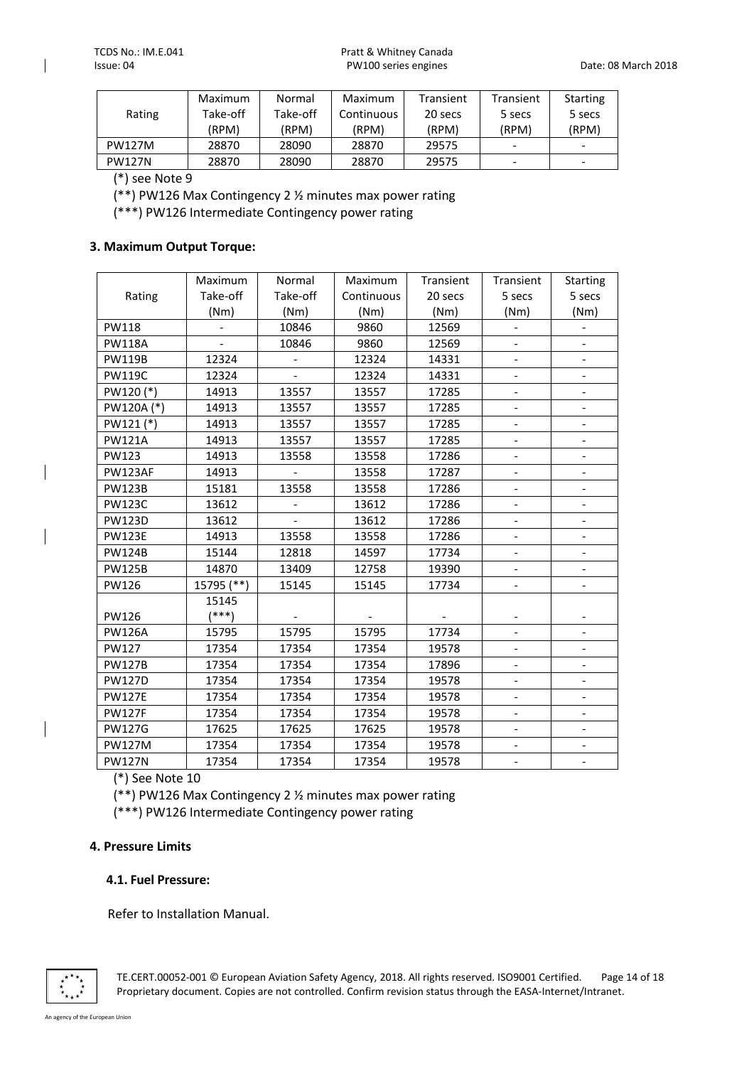#### TCDS No.: IM.E.041 Pratt & Whitney Canada<br>
Issue: 04 PW100 series engines PW100 series engines **Issue Date: 08 March 2018**

|               | Maximum  | Normal   | Maximum    | Transient | Transient | <b>Starting</b>          |
|---------------|----------|----------|------------|-----------|-----------|--------------------------|
| Rating        | Take-off | Take-off | Continuous | 20 secs   | 5 secs    | 5 secs                   |
|               | (RPM)    | (RPM)    | (RPM)      | (RPM)     | (RPM)     | (RPM)                    |
| <b>PW127M</b> | 28870    | 28090    | 28870      | 29575     |           |                          |
| <b>PW127N</b> | 28870    | 28090    | 28870      | 29575     | -         | $\overline{\phantom{0}}$ |

(\*) see Note 9

(\*\*) PW126 Max Contingency 2 ½ minutes max power rating

(\*\*\*) PW126 Intermediate Contingency power rating

## <span id="page-13-0"></span>**3. Maximum Output Torque:**

|                | Maximum    | Normal            | Maximum    | Transient | Transient                    | <b>Starting</b>              |
|----------------|------------|-------------------|------------|-----------|------------------------------|------------------------------|
| Rating         | Take-off   | Take-off          | Continuous | 20 secs   | 5 secs                       | 5 secs                       |
|                | (Nm)       | (Nm)              | (Nm)       | (Nm)      | (Nm)                         | (Nm)                         |
| PW118          |            | 10846             | 9860       | 12569     |                              |                              |
| <b>PW118A</b>  |            | 10846             | 9860       | 12569     |                              |                              |
| <b>PW119B</b>  | 12324      | $\qquad \qquad -$ | 12324      | 14331     | $\qquad \qquad \blacksquare$ | $\overline{\phantom{a}}$     |
| <b>PW119C</b>  | 12324      |                   | 12324      | 14331     |                              |                              |
| PW120 (*)      | 14913      | 13557             | 13557      | 17285     |                              |                              |
| PW120A (*)     | 14913      | 13557             | 13557      | 17285     |                              |                              |
| PW121 (*)      | 14913      | 13557             | 13557      | 17285     |                              |                              |
| <b>PW121A</b>  | 14913      | 13557             | 13557      | 17285     | $\qquad \qquad \blacksquare$ | $\overline{\phantom{a}}$     |
| PW123          | 14913      | 13558             | 13558      | 17286     |                              |                              |
| <b>PW123AF</b> | 14913      |                   | 13558      | 17287     | $\qquad \qquad \blacksquare$ | $\qquad \qquad \blacksquare$ |
| <b>PW123B</b>  | 15181      | 13558             | 13558      | 17286     |                              |                              |
| <b>PW123C</b>  | 13612      |                   | 13612      | 17286     |                              |                              |
| <b>PW123D</b>  | 13612      |                   | 13612      | 17286     | $\overline{\phantom{a}}$     |                              |
| <b>PW123E</b>  | 14913      | 13558             | 13558      | 17286     |                              |                              |
| <b>PW124B</b>  | 15144      | 12818             | 14597      | 17734     | $\qquad \qquad -$            | $\overline{\phantom{a}}$     |
| <b>PW125B</b>  | 14870      | 13409             | 12758      | 19390     |                              |                              |
| PW126          | 15795 (**) | 15145             | 15145      | 17734     |                              |                              |
|                | 15145      |                   |            |           |                              |                              |
| PW126          | $(***")$   |                   |            |           |                              |                              |
| <b>PW126A</b>  | 15795      | 15795             | 15795      | 17734     | $\overline{\phantom{0}}$     | $\overline{\phantom{a}}$     |
| PW127          | 17354      | 17354             | 17354      | 19578     |                              |                              |
| <b>PW127B</b>  | 17354      | 17354             | 17354      | 17896     |                              |                              |
| <b>PW127D</b>  | 17354      | 17354             | 17354      | 19578     | $\qquad \qquad \blacksquare$ |                              |
| <b>PW127E</b>  | 17354      | 17354             | 17354      | 19578     |                              |                              |
| <b>PW127F</b>  | 17354      | 17354             | 17354      | 19578     | $\qquad \qquad \blacksquare$ | $\overline{\phantom{a}}$     |
| <b>PW127G</b>  | 17625      | 17625             | 17625      | 19578     |                              |                              |
| <b>PW127M</b>  | 17354      | 17354             | 17354      | 19578     |                              |                              |
| <b>PW127N</b>  | 17354      | 17354             | 17354      | 19578     | $\overline{\phantom{a}}$     |                              |

(\*) See Note 10

(\*\*) PW126 Max Contingency 2 ½ minutes max power rating

(\*\*\*) PW126 Intermediate Contingency power rating

## <span id="page-13-1"></span>**4. Pressure Limits**

## <span id="page-13-2"></span>**4.1. Fuel Pressure:**

Refer to Installation Manual.



TE.CERT.00052-001 © European Aviation Safety Agency, 2018. All rights reserved. ISO9001 Certified. Page 14 of 18 Proprietary document. Copies are not controlled. Confirm revision status through the EASA-Internet/Intranet.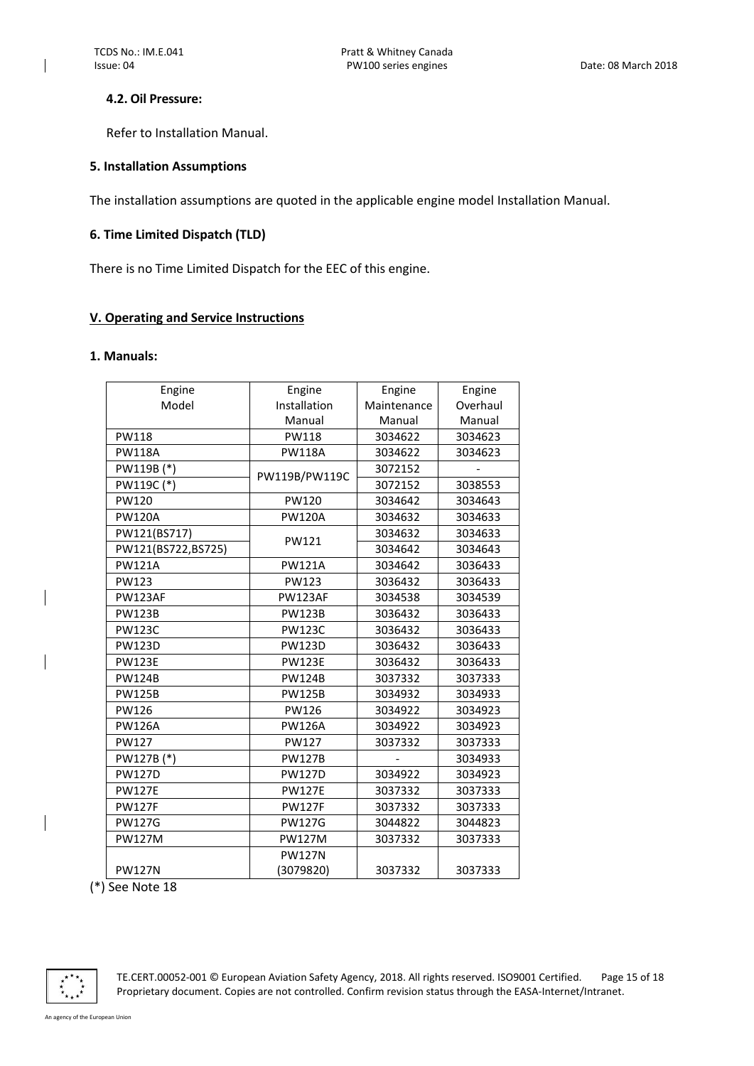#### <span id="page-14-0"></span>**4.2. Oil Pressure:**

Refer to Installation Manual.

#### <span id="page-14-1"></span>**5. Installation Assumptions**

The installation assumptions are quoted in the applicable engine model Installation Manual.

## <span id="page-14-2"></span>**6. Time Limited Dispatch (TLD)**

There is no Time Limited Dispatch for the EEC of this engine.

#### <span id="page-14-3"></span>**V. Operating and Service Instructions**

#### <span id="page-14-4"></span>**1. Manuals:**

| Engine             | Engine        | Engine      | Engine   |
|--------------------|---------------|-------------|----------|
| Model              | Installation  | Maintenance | Overhaul |
|                    | Manual        | Manual      | Manual   |
| <b>PW118</b>       | <b>PW118</b>  | 3034622     | 3034623  |
| <b>PW118A</b>      | <b>PW118A</b> | 3034622     | 3034623  |
| PW119B (*)         |               | 3072152     |          |
| PW119C (*)         | PW119B/PW119C | 3072152     | 3038553  |
| <b>PW120</b>       | PW120         | 3034642     | 3034643  |
| <b>PW120A</b>      | <b>PW120A</b> | 3034632     | 3034633  |
| PW121(BS717)       | <b>PW121</b>  | 3034632     | 3034633  |
| PW121(BS722,BS725) |               | 3034642     | 3034643  |
| <b>PW121A</b>      | <b>PW121A</b> | 3034642     | 3036433  |
| PW123              | PW123         | 3036432     | 3036433  |
| <b>PW123AF</b>     | PW123AF       | 3034538     | 3034539  |
| <b>PW123B</b>      | <b>PW123B</b> | 3036432     | 3036433  |
| <b>PW123C</b>      | <b>PW123C</b> | 3036432     | 3036433  |
| <b>PW123D</b>      | <b>PW123D</b> | 3036432     | 3036433  |
| <b>PW123E</b>      | <b>PW123E</b> | 3036432     | 3036433  |
| <b>PW124B</b>      | <b>PW124B</b> | 3037332     | 3037333  |
| <b>PW125B</b>      | <b>PW125B</b> | 3034932     | 3034933  |
| <b>PW126</b>       | <b>PW126</b>  | 3034922     | 3034923  |
| <b>PW126A</b>      | <b>PW126A</b> | 3034922     | 3034923  |
| <b>PW127</b>       | <b>PW127</b>  | 3037332     | 3037333  |
| PW127B (*)         | <b>PW127B</b> |             | 3034933  |
| <b>PW127D</b>      | <b>PW127D</b> | 3034922     | 3034923  |
| <b>PW127E</b>      | <b>PW127E</b> | 3037332     | 3037333  |
| <b>PW127F</b>      | <b>PW127F</b> | 3037332     | 3037333  |
| <b>PW127G</b>      | <b>PW127G</b> | 3044822     | 3044823  |
| <b>PW127M</b>      | <b>PW127M</b> | 3037332     | 3037333  |
|                    | <b>PW127N</b> |             |          |
| <b>PW127N</b>      | (3079820)     | 3037332     | 3037333  |

(\*) See Note 18



TE.CERT.00052-001 © European Aviation Safety Agency, 2018. All rights reserved. ISO9001 Certified. Page 15 of 18 Proprietary document. Copies are not controlled. Confirm revision status through the EASA-Internet/Intranet.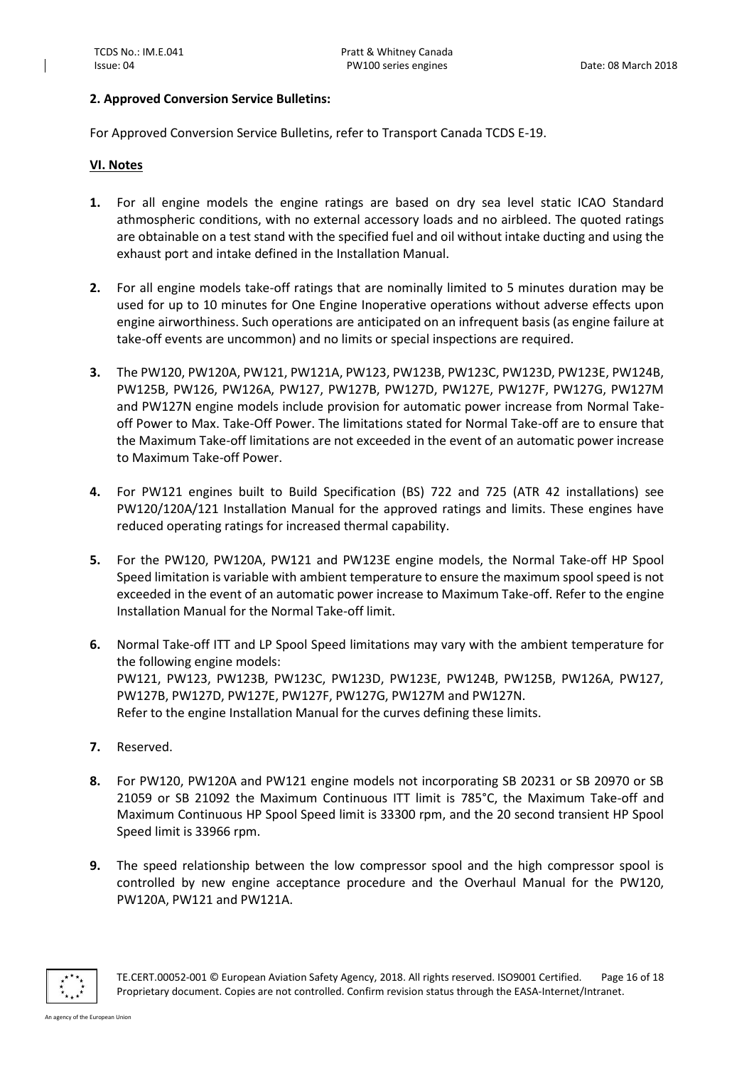### <span id="page-15-0"></span>**2. Approved Conversion Service Bulletins:**

<span id="page-15-1"></span>For Approved Conversion Service Bulletins, refer to Transport Canada TCDS E-19.

## **VI. Notes**

- **1.** For all engine models the engine ratings are based on dry sea level static ICAO Standard athmospheric conditions, with no external accessory loads and no airbleed. The quoted ratings are obtainable on a test stand with the specified fuel and oil without intake ducting and using the exhaust port and intake defined in the Installation Manual.
- **2.** For all engine models take-off ratings that are nominally limited to 5 minutes duration may be used for up to 10 minutes for One Engine Inoperative operations without adverse effects upon engine airworthiness. Such operations are anticipated on an infrequent basis (as engine failure at take-off events are uncommon) and no limits or special inspections are required.
- **3.** The PW120, PW120A, PW121, PW121A, PW123, PW123B, PW123C, PW123D, PW123E, PW124B, PW125B, PW126, PW126A, PW127, PW127B, PW127D, PW127E, PW127F, PW127G, PW127M and PW127N engine models include provision for automatic power increase from Normal Takeoff Power to Max. Take-Off Power. The limitations stated for Normal Take-off are to ensure that the Maximum Take-off limitations are not exceeded in the event of an automatic power increase to Maximum Take-off Power.
- **4.** For PW121 engines built to Build Specification (BS) 722 and 725 (ATR 42 installations) see PW120/120A/121 Installation Manual for the approved ratings and limits. These engines have reduced operating ratings for increased thermal capability.
- **5.** For the PW120, PW120A, PW121 and PW123E engine models, the Normal Take-off HP Spool Speed limitation is variable with ambient temperature to ensure the maximum spool speed is not exceeded in the event of an automatic power increase to Maximum Take-off. Refer to the engine Installation Manual for the Normal Take-off limit.
- **6.** Normal Take-off ITT and LP Spool Speed limitations may vary with the ambient temperature for the following engine models: PW121, PW123, PW123B, PW123C, PW123D, PW123E, PW124B, PW125B, PW126A, PW127, PW127B, PW127D, PW127E, PW127F, PW127G, PW127M and PW127N. Refer to the engine Installation Manual for the curves defining these limits.
- **7.** Reserved.
- **8.** For PW120, PW120A and PW121 engine models not incorporating SB 20231 or SB 20970 or SB 21059 or SB 21092 the Maximum Continuous ITT limit is 785°C, the Maximum Take-off and Maximum Continuous HP Spool Speed limit is 33300 rpm, and the 20 second transient HP Spool Speed limit is 33966 rpm.
- **9.** The speed relationship between the low compressor spool and the high compressor spool is controlled by new engine acceptance procedure and the Overhaul Manual for the PW120, PW120A, PW121 and PW121A.

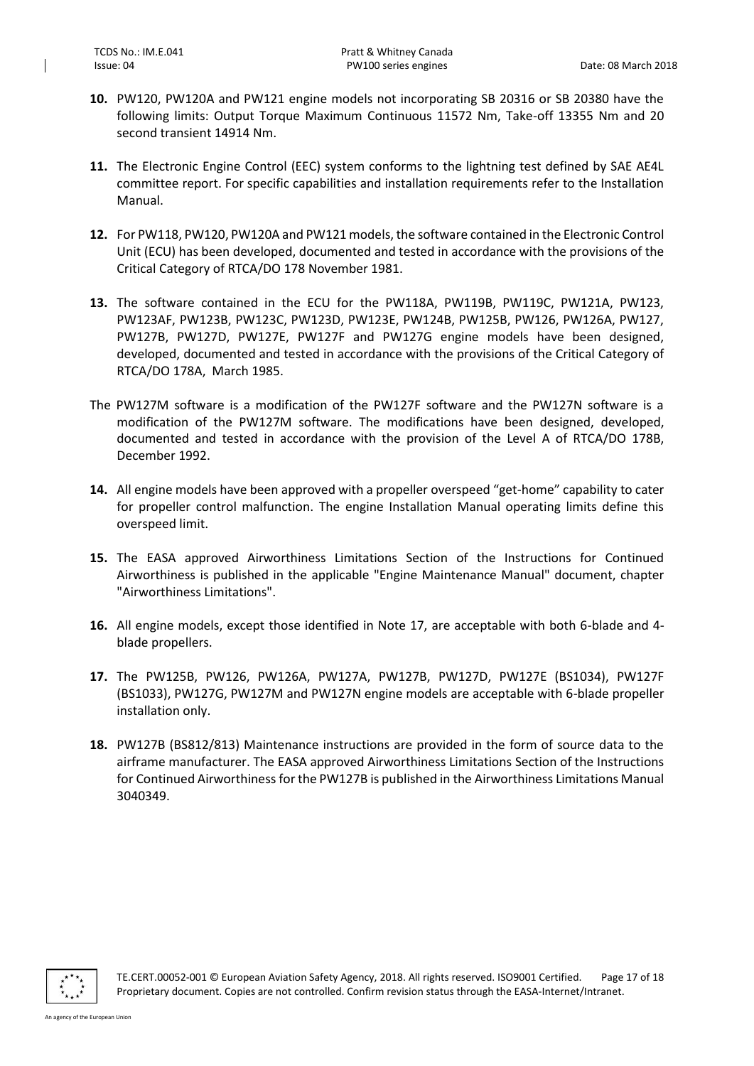- **10.** PW120, PW120A and PW121 engine models not incorporating SB 20316 or SB 20380 have the following limits: Output Torque Maximum Continuous 11572 Nm, Take-off 13355 Nm and 20 second transient 14914 Nm.
- **11.** The Electronic Engine Control (EEC) system conforms to the lightning test defined by SAE AE4L committee report. For specific capabilities and installation requirements refer to the Installation Manual.
- **12.** For PW118, PW120, PW120A and PW121 models, the software contained in the Electronic Control Unit (ECU) has been developed, documented and tested in accordance with the provisions of the Critical Category of RTCA/DO 178 November 1981.
- **13.** The software contained in the ECU for the PW118A, PW119B, PW119C, PW121A, PW123, PW123AF, PW123B, PW123C, PW123D, PW123E, PW124B, PW125B, PW126, PW126A, PW127, PW127B, PW127D, PW127E, PW127F and PW127G engine models have been designed, developed, documented and tested in accordance with the provisions of the Critical Category of RTCA/DO 178A, March 1985.
- The PW127M software is a modification of the PW127F software and the PW127N software is a modification of the PW127M software. The modifications have been designed, developed, documented and tested in accordance with the provision of the Level A of RTCA/DO 178B, December 1992.
- **14.** All engine models have been approved with a propeller overspeed "get-home" capability to cater for propeller control malfunction. The engine Installation Manual operating limits define this overspeed limit.
- **15.** The EASA approved Airworthiness Limitations Section of the Instructions for Continued Airworthiness is published in the applicable "Engine Maintenance Manual" document, chapter "Airworthiness Limitations".
- **16.** All engine models, except those identified in Note 17, are acceptable with both 6-blade and 4 blade propellers.
- **17.** The PW125B, PW126, PW126A, PW127A, PW127B, PW127D, PW127E (BS1034), PW127F (BS1033), PW127G, PW127M and PW127N engine models are acceptable with 6-blade propeller installation only.
- **18.** PW127B (BS812/813) Maintenance instructions are provided in the form of source data to the airframe manufacturer. The EASA approved Airworthiness Limitations Section of the Instructions for Continued Airworthiness for the PW127B is published in the Airworthiness Limitations Manual 3040349.